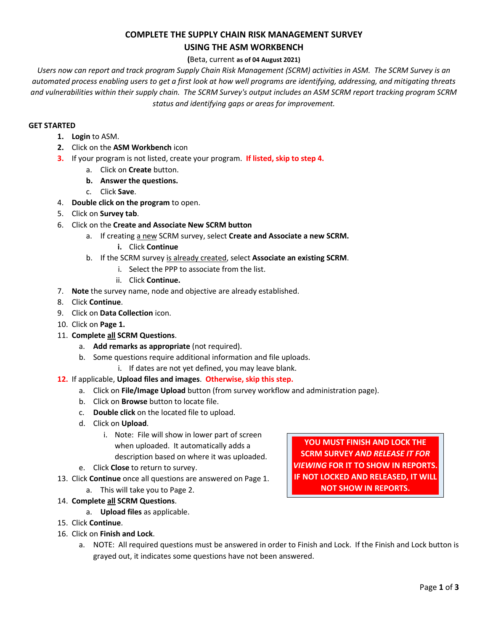# **COMPLETE THE SUPPLY CHAIN RISK MANAGEMENT SURVEY USING THE ASM WORKBENCH**

# **(**Beta, current **as of 04 August 2021)**

*Users now can report and track program Supply Chain Risk Management (SCRM) activities in ASM. The SCRM Survey is an automated process enabling users to get a first look at how well programs are identifying, addressing, and mitigating threats and vulnerabilities within their supply chain. The SCRM Survey's output includes an ASM SCRM report tracking program SCRM status and identifying gaps or areas for improvement.*

# **GET STARTED**

- **1. Login** to ASM.
- **2.** Click on the **ASM Workbench** icon
- **3.** If your program is not listed, create your program. **If listed, skip to step 4.**
	- a. Click on **Create** button.
	- **b. Answer the questions.**
	- c. Click **Save**.
- 4. **Double click on the program** to open.
- 5. Click on **Survey tab**.
- 6. Click on the **Create and Associate New SCRM button**
	- a. If creating a new SCRM survey, select Create and Associate a new SCRM.
		- **i.** Click **Continue**
	- b. If the SCRM survey is already created, select **Associate an existing SCRM**.
		- i. Select the PPP to associate from the list.
		- ii. Click **Continue.**
- 7. **Note** the survey name, node and objective are already established.
- 8. Click **Continue**.
- 9. Click on **Data Collection** icon.
- 10. Click on **Page 1.**
- 11. **Complete all SCRM Questions**.
	- a. **Add remarks as appropriate** (not required).
	- b. Some questions require additional information and file uploads.
		- i. If dates are not yet defined, you may leave blank.

# **12.** If applicable, **Upload files and images**. **Otherwise, skip this step.**

- a. Click on **File/Image Upload** button (from survey workflow and administration page).
- b. Click on **Browse** button to locate file.
- c. **Double click** on the located file to upload.
- d. Click on **Upload**.
	- i. Note: File will show in lower part of screen when uploaded. It automatically adds a description based on where it was uploaded.
- e. Click **Close** to return to survey.
- 13. Click **Continue** once all questions are answered on Page 1.
	- a. This will take you to Page 2.

# 14. **Complete all SCRM Questions**.

a. **Upload files** as applicable.

# 15. Click **Continue**.

- 16. Click on **Finish and Lock**.
	- a. NOTE: All required questions must be answered in order to Finish and Lock. If the Finish and Lock button is grayed out, it indicates some questions have not been answered.

**YOU MUST FINISH AND LOCK THE SCRM SURVEY** *AND RELEASE IT FOR VIEWING* **FOR IT TO SHOW IN REPORTS. IF NOT LOCKED AND RELEASED, IT WILL NOT SHOW IN REPORTS.**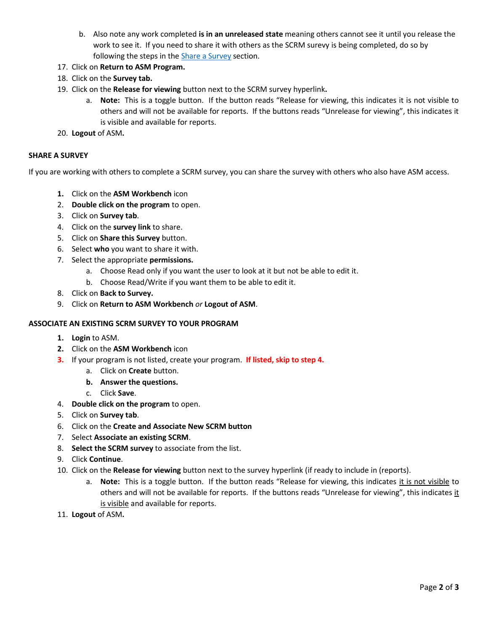- b. Also note any work completed **is in an unreleased state** meaning others cannot see it until you release the work to see it. If you need to share it with others as the SCRM surevy is being completed, do so by following the steps in the [Share a Survey](#page-1-0) section.
- 17. Click on **Return to ASM Program.**
- 18. Click on the **Survey tab.**
- 19. Click on the **Release for viewing** button next to the SCRM survey hyperlink**.**
	- a. **Note:** This is a toggle button. If the button reads "Release for viewing, this indicates it is not visible to others and will not be available for reports. If the buttons reads "Unrelease for viewing", this indicates it is visible and available for reports.
- 20. **Logout** of ASM**.**

### <span id="page-1-0"></span>**SHARE A SURVEY**

If you are working with others to complete a SCRM survey, you can share the survey with others who also have ASM access.

- **1.** Click on the **ASM Workbench** icon
- 2. **Double click on the program** to open.
- 3. Click on **Survey tab**.
- 4. Click on the **survey link** to share.
- 5. Click on **Share this Survey** button.
- 6. Select **who** you want to share it with.
- 7. Select the appropriate **permissions.**
	- a. Choose Read only if you want the user to look at it but not be able to edit it.
	- b. Choose Read/Write if you want them to be able to edit it.
- 8. Click on **Back to Survey.**
- 9. Click on **Return to ASM Workbench** *or* **Logout of ASM**.

### **ASSOCIATE AN EXISTING SCRM SURVEY TO YOUR PROGRAM**

- **1. Login** to ASM.
- **2.** Click on the **ASM Workbench** icon
- **3.** If your program is not listed, create your program. **If listed, skip to step 4.**
	- a. Click on **Create** button.
	- **b. Answer the questions.**
	- c. Click **Save**.
- 4. **Double click on the program** to open.
- 5. Click on **Survey tab**.
- 6. Click on the **Create and Associate New SCRM button**
- 7. Select **Associate an existing SCRM**.
- 8. **Select the SCRM survey** to associate from the list.
- 9. Click **Continue**.
- 10. Click on the **Release for viewing** button next to the survey hyperlink (if ready to include in (reports).
	- a. **Note:** This is a toggle button. If the button reads "Release for viewing, this indicates it is not visible to others and will not be available for reports. If the buttons reads "Unrelease for viewing", this indicates it is visible and available for reports.
- 11. **Logout** of ASM**.**